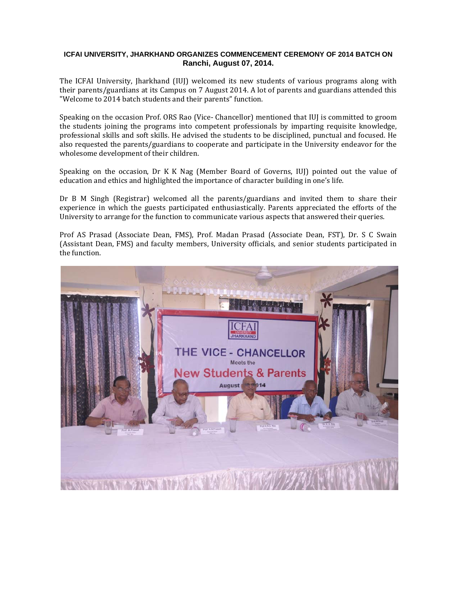## **ICFAI UNIVERSITY, JHARKHAND ORGANIZES COMMENCEMENT CEREMONY OF 2014 BATCH ON Ranchi, August 07, 2014.**

The ICFAI University, Jharkhand (IUJ) welcomed its new students of various programs along with their parents/guardians at its Campus on 7 August 2014. A lot of parents and guardians attended this "Welcome to 2014 batch students and their parents" function.

Speaking on the occasion Prof. ORS Rao (Vice‐ Chancellor) mentioned that IUJ is committed to groom the students joining the programs into competent professionals by imparting requisite knowledge, professional skills and soft skills. He advised the students to be disciplined, punctual and focused. He also requested the parents/guardians to cooperate and participate in the University endeavor for the wholesome development of their children.

Speaking on the occasion, Dr K K Nag (Member Board of Governs, IUJ) pointed out the value of education and ethics and highlighted the importance of character building in one's life.

Dr B M Singh (Registrar) welcomed all the parents/guardians and invited them to share their experience in which the guests participated enthusiastically. Parents appreciated the efforts of the University to arrange for the function to communicate various aspects that answered their queries.

Prof AS Prasad (Associate Dean, FMS), Prof. Madan Prasad (Associate Dean, FST), Dr. S C Swain (Assistant Dean, FMS) and faculty members, University officials, and senior students participated in the function.

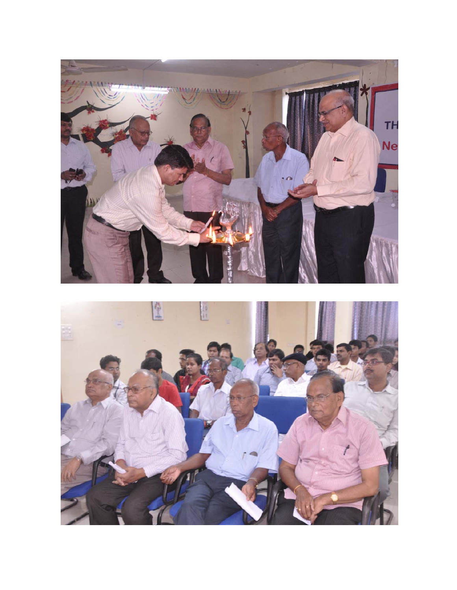

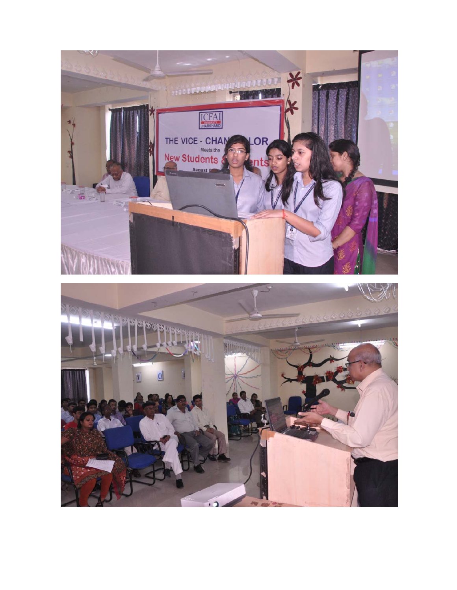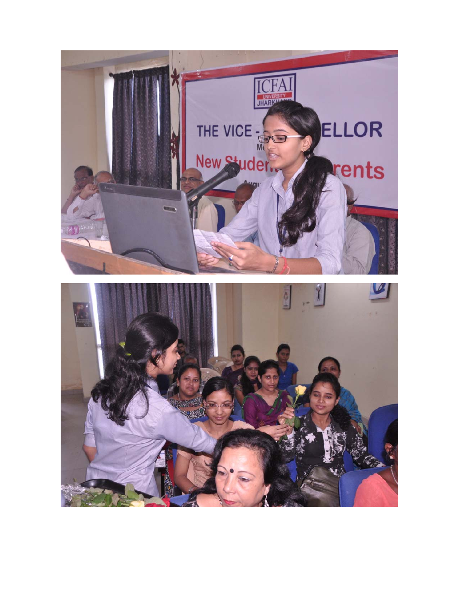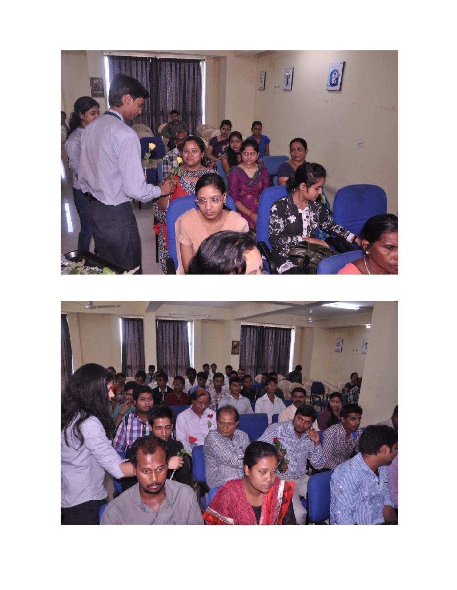